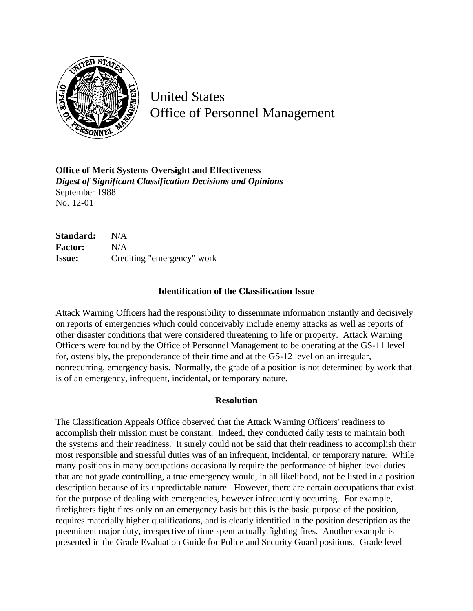

United States Office of Personnel Management

**Office of Merit Systems Oversight and Effectiveness** *Digest of Significant Classification Decisions and Opinions* September 1988 No. 12-01

**Standard:** N/A **Factor:** N/A **Issue:** Crediting "emergency" work

## **Identification of the Classification Issue**

Attack Warning Officers had the responsibility to disseminate information instantly and decisively on reports of emergencies which could conceivably include enemy attacks as well as reports of other disaster conditions that were considered threatening to life or property. Attack Warning Officers were found by the Office of Personnel Management to be operating at the GS-11 level for, ostensibly, the preponderance of their time and at the GS-12 level on an irregular, nonrecurring, emergency basis. Normally, the grade of a position is not determined by work that is of an emergency, infrequent, incidental, or temporary nature.

## **Resolution**

The Classification Appeals Office observed that the Attack Warning Officers' readiness to accomplish their mission must be constant. Indeed, they conducted daily tests to maintain both the systems and their readiness. It surely could not be said that their readiness to accomplish their most responsible and stressful duties was of an infrequent, incidental, or temporary nature. While many positions in many occupations occasionally require the performance of higher level duties that are not grade controlling, a true emergency would, in all likelihood, not be listed in a position description because of its unpredictable nature. However, there are certain occupations that exist for the purpose of dealing with emergencies, however infrequently occurring. For example, firefighters fight fires only on an emergency basis but this is the basic purpose of the position, requires materially higher qualifications, and is clearly identified in the position description as the preeminent major duty, irrespective of time spent actually fighting fires. Another example is presented in the Grade Evaluation Guide for Police and Security Guard positions. Grade level